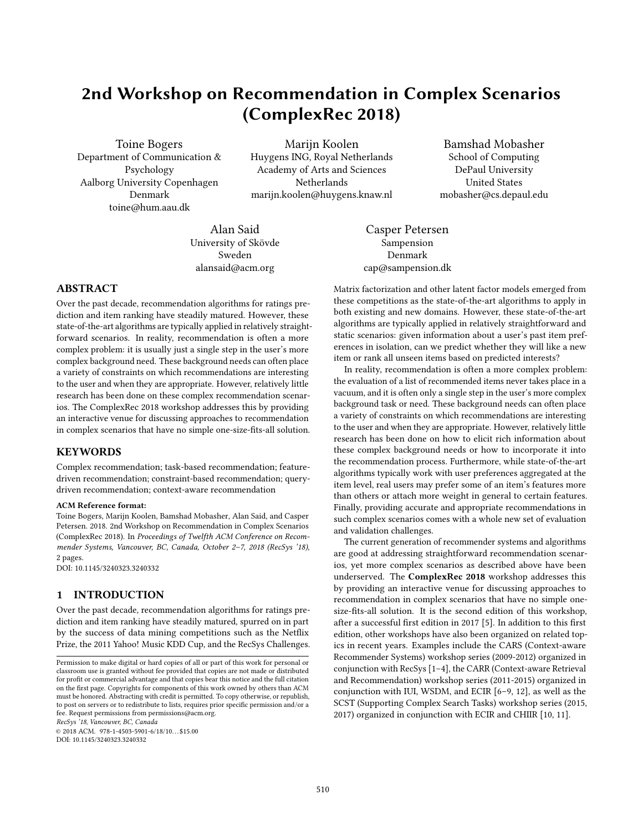# 2nd Workshop on Recommendation in Complex Scenarios (ComplexRec 2018)

Toine Bogers Department of Communication & Psychology Aalborg University Copenhagen Denmark toine@hum.aau.dk

Marijn Koolen Huygens ING, Royal Netherlands Academy of Arts and Sciences Netherlands marijn.koolen@huygens.knaw.nl

Bamshad Mobasher School of Computing DePaul University United States mobasher@cs.depaul.edu

Alan Said University of Skövde Sweden alansaid@acm.org

Casper Petersen Sampension Denmark cap@sampension.dk

# ABSTRACT

Over the past decade, recommendation algorithms for ratings prediction and item ranking have steadily matured. However, these state-of-the-art algorithms are typically applied in relatively straightforward scenarios. In reality, recommendation is often a more complex problem: it is usually just a single step in the user's more complex background need. These background needs can often place a variety of constraints on which recommendations are interesting to the user and when they are appropriate. However, relatively little research has been done on these complex recommendation scenarios. The ComplexRec 2018 workshop addresses this by providing an interactive venue for discussing approaches to recommendation in complex scenarios that have no simple one-size-fits-all solution.

# **KEYWORDS**

Complex recommendation; task-based recommendation; featuredriven recommendation; constraint-based recommendation; querydriven recommendation; context-aware recommendation

#### ACM Reference format:

Toine Bogers, Marijn Koolen, Bamshad Mobasher, Alan Said, and Casper Petersen. 2018. 2nd Workshop on Recommendation in Complex Scenarios (ComplexRec 2018). In Proceedings of Twelfth ACM Conference on Recommender Systems, Vancouver, BC, Canada, October 2–7, 2018 (RecSys '18), [2](#page-1-0) pages. DOI: 10.1145/3240323.3240332

# 1 INTRODUCTION

Over the past decade, recommendation algorithms for ratings prediction and item ranking have steadily matured, spurred on in part by the success of data mining competitions such as the Netflix Prize, the 2011 Yahoo! Music KDD Cup, and the RecSys Challenges.

RecSys '18, Vancouver, BC, Canada

 $© 2018 ACM. 978-1-4503-5901-6/18/10...$ \$15.00 DOI: 10.1145/3240323.3240332

Matrix factorization and other latent factor models emerged from these competitions as the state-of-the-art algorithms to apply in both existing and new domains. However, these state-of-the-art algorithms are typically applied in relatively straightforward and static scenarios: given information about a user's past item preferences in isolation, can we predict whether they will like a new item or rank all unseen items based on predicted interests?

In reality, recommendation is often a more complex problem: the evaluation of a list of recommended items never takes place in a vacuum, and it is often only a single step in the user's more complex background task or need. These background needs can often place a variety of constraints on which recommendations are interesting to the user and when they are appropriate. However, relatively little research has been done on how to elicit rich information about these complex background needs or how to incorporate it into the recommendation process. Furthermore, while state-of-the-art algorithms typically work with user preferences aggregated at the item level, real users may prefer some of an item's features more than others or attach more weight in general to certain features. Finally, providing accurate and appropriate recommendations in such complex scenarios comes with a whole new set of evaluation and validation challenges.

The current generation of recommender systems and algorithms are good at addressing straightforward recommendation scenarios, yet more complex scenarios as described above have been underserved. The ComplexRec 2018 workshop addresses this by providing an interactive venue for discussing approaches to recommendation in complex scenarios that have no simple onesize-fits-all solution. It is the second edition of this workshop, after a successful first edition in 2017 [\[5\]](#page-1-1). In addition to this first edition, other workshops have also been organized on related topics in recent years. Examples include the CARS (Context-aware Recommender Systems) workshop series (2009-2012) organized in conjunction with RecSys [\[1](#page-1-2)[–4\]](#page-1-3), the CARR (Context-aware Retrieval and Recommendation) workshop series (2011-2015) organized in conjunction with IUI, WSDM, and ECIR [\[6–](#page-1-4)[9,](#page-1-5) [12\]](#page-1-6), as well as the SCST (Supporting Complex Search Tasks) workshop series (2015, 2017) organized in conjunction with ECIR and CHIIR [\[10,](#page-1-7) [11\]](#page-1-8).

Permission to make digital or hard copies of all or part of this work for personal or classroom use is granted without fee provided that copies are not made or distributed for profit or commercial advantage and that copies bear this notice and the full citation on the first page. Copyrights for components of this work owned by others than  $\rm{ACM}$ must be honored. Abstracting with credit is permitted. To copy otherwise, or republish, to post on servers or to redistribute to lists, requires prior specific permission and/or a fee. Request permissions from permissions@acm.org.